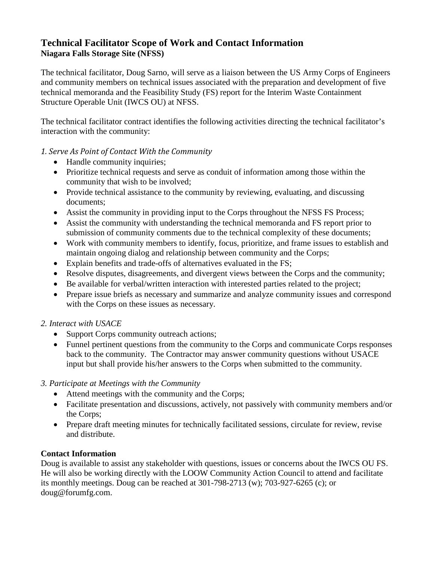# **Technical Facilitator Scope of Work and Contact Information Niagara Falls Storage Site (NFSS)**

The technical facilitator, Doug Sarno, will serve as a liaison between the US Army Corps of Engineers and community members on technical issues associated with the preparation and development of five technical memoranda and the Feasibility Study (FS) report for the Interim Waste Containment Structure Operable Unit (IWCS OU) at NFSS.

The technical facilitator contract identifies the following activities directing the technical facilitator's interaction with the community:

#### *1. Serve As Point of Contact With the Community*

- Handle community inquiries;
- Prioritize technical requests and serve as conduit of information among those within the community that wish to be involved;
- Provide technical assistance to the community by reviewing, evaluating, and discussing documents;
- Assist the community in providing input to the Corps throughout the NFSS FS Process;
- Assist the community with understanding the technical memoranda and FS report prior to submission of community comments due to the technical complexity of these documents;
- Work with community members to identify, focus, prioritize, and frame issues to establish and maintain ongoing dialog and relationship between community and the Corps;
- Explain benefits and trade-offs of alternatives evaluated in the FS;
- Resolve disputes, disagreements, and divergent views between the Corps and the community;
- Be available for verbal/written interaction with interested parties related to the project;
- Prepare issue briefs as necessary and summarize and analyze community issues and correspond with the Corps on these issues as necessary.

## *2. Interact with USACE*

- Support Corps community outreach actions;
- Funnel pertinent questions from the community to the Corps and communicate Corps responses back to the community. The Contractor may answer community questions without USACE input but shall provide his/her answers to the Corps when submitted to the community.
- *3. Participate at Meetings with the Community*
	- Attend meetings with the community and the Corps;
	- Facilitate presentation and discussions, actively, not passively with community members and/or the Corps;
	- Prepare draft meeting minutes for technically facilitated sessions, circulate for review, revise and distribute.

## **Contact Information**

Doug is available to assist any stakeholder with questions, issues or concerns about the IWCS OU FS. He will also be working directly with the LOOW Community Action Council to attend and facilitate its monthly meetings. Doug can be reached at 301-798-2713 (w); 703-927-6265 (c); or doug@forumfg.com.